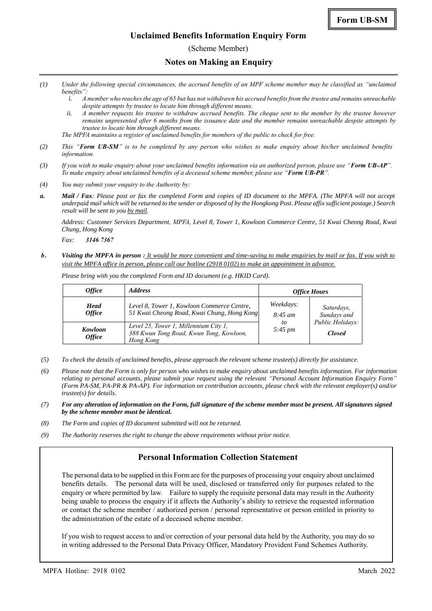(Scheme Member)

### **Notes on Making an Enquiry**

- *(1) Under the following special circumstances, the accrued benefits of an MPF scheme member may be classified as "unclaimed benefits":*
	- *i. A member who reaches the age of 65 but has not withdrawn his accrued benefits from the trustee and remains unreachable despite attempts by trustee to locate him through different means.*
	- *ii. A member requests his trustee to withdraw accrued benefits. The cheque sent to the member by the trustee however remains unpresented after 6 months from the issuance date and the member remains unreachable despite attempts by trustee to locate him through different means.*
	- *The MPFA maintains a register of unclaimed benefits for members of the public to check for free.*
- *(2) This "Form UB-SM" is to be completed by any person who wishes to make enquiry about his/her unclaimed benefits information.*
- *(3) If you wish to make enquiry about your unclaimed benefits information via an authorized person, please use "Form UB-AP". To make enquiry about unclaimed benefits of a deceased scheme member, please use "Form UB-PR".*
- *(4) You may submit your enquiry to the Authority by:*
- *a. Mail / Fax: Please post or fax the completed Form and copies of ID document to the MPFA. (The MPFA will not accept underpaid mail which will be returned to the sender or disposed of by the Hongkong Post. Please affix sufficient postage.) Search result will be sent to you by mail.*

*Address: Customer Services Department, MPFA, Level 8, Tower 1, Kowloon Commerce Centre, 51 Kwai Cheong Road, Kwai Chung, Hong Kong*

*Fax: 3146 7367*

*b. Visiting the MPFA in person : It would be more convenient and time-saving to make enquiries by mail or fax. If you wish to visit the MPFA office in person, please call our hotline (2918 0102) to make an appointment in advance.*

*Please bring with you the completed Form and ID document (e.g. HKID Card).*

| <i><b>Office</b></i>                | <b>Address</b>                                                                                | <b>Office Hours</b>                                    |                                                                |
|-------------------------------------|-----------------------------------------------------------------------------------------------|--------------------------------------------------------|----------------------------------------------------------------|
| <b>Head</b><br><i><b>Office</b></i> | Level 8, Tower 1, Kowloon Commerce Centre,<br>51 Kwai Cheong Road, Kwai Chung, Hong Kong      | Weekdays:<br>$8:45 \; am$<br>to<br>$5:45 \, \text{pm}$ | Saturdays,<br>Sundays and<br>Public Holidays:<br><b>Closed</b> |
| Kowloon<br><i><b>Office</b></i>     | Level 25, Tower 1, Millennium City 1,<br>388 Kwun Tong Road, Kwun Tong, Kowloon,<br>Hong Kong |                                                        |                                                                |

- *(5) To check the details of unclaimed benefits, please approach the relevant scheme trustee(s) directly for assistance.*
- *(6) Please note that the Form is only for person who wishes to make enquiry about unclaimed benefits information. For information relating to personal accounts, please submit your request using the relevant "Personal Account Information Enquiry Form" (Form PA-SM, PA-PR & PA-AP). For information on contribution accounts, please check with the relevant employer(s) and/or trustee(s) for details.*
- *(7) For any alteration of information on the Form, full signature of the scheme member must be present. All signatures signed by the scheme member must be identical.*
- *(8) The Form and copies of ID document submitted will not be returned.*
- *(9) The Authority reserves the right to change the above requirements without prior notice.*

## **Personal Information Collection Statement**

The personal data to be supplied in this Form are for the purposes of processing your enquiry about unclaimed benefits details. The personal data will be used, disclosed or transferred only for purposes related to the enquiry or where permitted by law. Failure to supply the requisite personal data may result in the Authority being unable to process the enquiry if it affects the Authority's ability to retrieve the requested information or contact the scheme member / authorized person / personal representative or person entitled in priority to the administration of the estate of a deceased scheme member.

If you wish to request access to and/or correction of your personal data held by the Authority, you may do so in writing addressed to the Personal Data Privacy Officer, Mandatory Provident Fund Schemes Authority.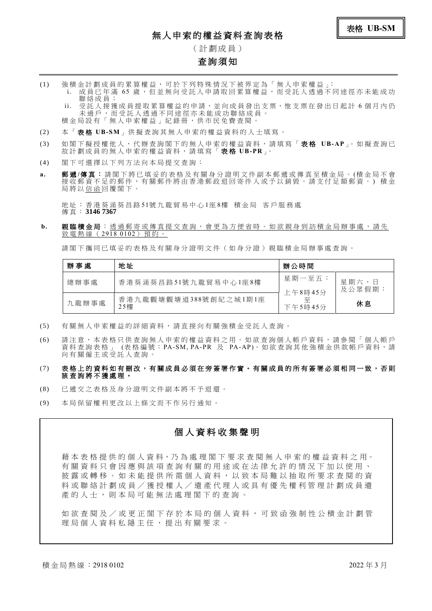# 無人申索的權益資料查詢表格

( 計 劃 成 員 )

### 查詢須知

- (1) 強 積 金 計 劃 成 員 的 累 算 權 益 , 可 於 下 列 特 殊 情 況 下 被 界 定 為 「 無 人 申 索 權 益 」: i. 成員已年滿 65 歲,但並無向受託人申請取回累算權益,而受託人透過不同途徑亦未能成功 聯 絡 成 員 ;
	- ii. 受託人接獲成員提取累算權益的申請,並向成員發出支票,惟支票在發出日起計6個月內仍 未 過 戶 , 而 受 託 人 透 過 不 同 途 徑 亦 未 能 成 功 聯 絡 成 員 。 積金局設有「無人申索權益」紀錄冊,供市民免費查閱。
- (2) 本 「 表 格 **UB-SM**」 供 擬 查 詢 其 無 人 申 索 的 權 益 資 料 的 人 士 填 寫 。
- (3) 如 閣 下 擬 授 權 他 人 , 代 辦 查 詢 閣 下 的 無 人 申 索 的 權 益 資 料 , 請 填 寫 「 表 格 **UB-AP**」。 如 擬 查 詢 已 故 計 劃 成 員 的 無 人 申 索 的 權 益 資 料 , 請 填 寫 「 表 格 **UB-PR**」。
- (4) 閣 下 可 選 擇 以 下 列 方 法 向 本 局 提 交 查 詢 :
- a. 郵遞/傳真:請閣下將已填妥的表格及有關身分證明文件副本郵遞或傳真至積金局。(積金局不會 接收郵資不足的郵件,有關郵件將由香港郵政退回寄件人或予以銷毀。請支付足額郵資。)積金 局 將 以 信 函 回 覆 閣 下 。

地 址 : 香 港 葵 涌 葵 昌 路 51號 九 龍 貿 易 中 心 1座 8樓 積 金 局 客 戶 服 務 處 傳 真 : **3146 7367**

b. 親臨積金局:透過郵寄或傳真提交查詢,會更為方便省時。如欲親身到訪積金局辦事處,請先 致電熱線 (2918 0102) 預約。

請閣下攜同已填妥的表格及有關身分證明文件(如身分證)親臨積金局辦事處查詢。

| 辦事處   | 地址                           | 辦公時間                    |                 |
|-------|------------------------------|-------------------------|-----------------|
| 總辦事處  | 香港葵涌葵昌路51號九龍貿易中心1座8樓         | 星期一至五:                  | 星期六、日<br>及公眾假期: |
| 九龍辦事處 | 香港九龍觀塘觀塘道388號創紀之城1期1座<br>25樓 | 上午8時45分<br>줖<br>下午5時45分 | 休息              |

- (5) 有 關 無 人 申 索 權 益 的 詳 細 資 料 , 請 直 接 向 有 關 強 積 金 受 託 人 查 詢 。
- (6) 請注意,本表格只供查詢無人申索的權益資料之用。如欲查詢個人帳戶資料,請參閱「個人帳戶 資料查詢表格 」 (表格編號:PA-SM, PA-PR 及 PA-AP)。如欲查詢其他強積金供款帳戶資料,請 向有關僱主或受託人查詢。

#### (7) 表 格 上 的 資 料 如 有 刪改, 有 關 成 員 必 須 在 旁 簽 署 作 實 。 有 關 成 員 的 所 有 簽 署 必 須 相 同 一 致 , 否 則 該查詢將不獲處理。

- (8) 已 遞 交 之 表 格 及 身 分 證 明 文 件 副 本 將 不 予 退 還 。
- (9) 本 局 保 留 權 利 更 改 以 上 條 文 而 不 作 另 行 通 知 。

### 個 人 資 料 收 集 聲 明

藉 本 表 格 提 供 的 個 人 資 料,乃 為 處 理 閣 下 要 求 查 閱 無 人 申 索 的 權 益 資 料 之 用。 有關資料只會因應與該項 查 詢 有 關 的 用 途 或 在 法 律 允 許 的 情 況 下 加 以 使 用 、 披露或轉移。如未能提供所需個人資料,以致本局難以抽取所要求查閱的資 料或聯絡計劃成員/獲授權人/遺產代理人 或 具 有 優 先 權 利 管 理 計 劃 成 員 遺 產的人士,則本局可能無法處理閣下的查詢。

如欲查閱及/或更正閣下存於本局的個人資料,可致函強制性公積金計劃管 理 局 個 人 資 料 私 隱 主 任 , 提 出 有 關 要 求 。